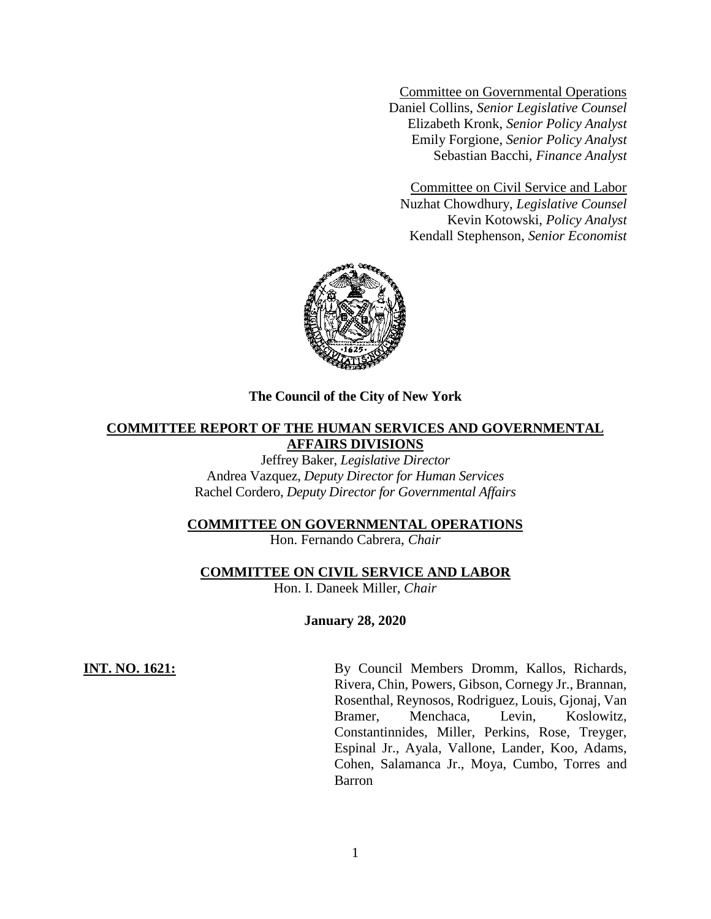Committee on Governmental Operations Daniel Collins, *Senior Legislative Counsel* Elizabeth Kronk, *Senior Policy Analyst* Emily Forgione*, Senior Policy Analyst* Sebastian Bacchi, *Finance Analyst*

Committee on Civil Service and Labor Nuzhat Chowdhury, *Legislative Counsel* Kevin Kotowski, *Policy Analyst* Kendall Stephenson, *Senior Economist*



### **The Council of the City of New York**

# **COMMITTEE REPORT OF THE HUMAN SERVICES AND GOVERNMENTAL AFFAIRS DIVISIONS**

Jeffrey Baker, *Legislative Director* Andrea Vazquez, *Deputy Director for Human Services* Rachel Cordero, *Deputy Director for Governmental Affairs*

### **COMMITTEE ON GOVERNMENTAL OPERATIONS**

Hon. Fernando Cabrera, *Chair*

## **COMMITTEE ON CIVIL SERVICE AND LABOR**

Hon. I. Daneek Miller, *Chair*

**January 28, 2020**

**INT. NO. 1621:** By Council Members Dromm, Kallos, Richards, Rivera, Chin, Powers, Gibson, Cornegy Jr., Brannan, Rosenthal, Reynosos, Rodriguez, Louis, Gjonaj, Van Bramer, Menchaca, Levin, Koslowitz, Constantinnides, Miller, Perkins, Rose, Treyger, Espinal Jr., Ayala, Vallone, Lander, Koo, Adams, Cohen, Salamanca Jr., Moya, Cumbo, Torres and Barron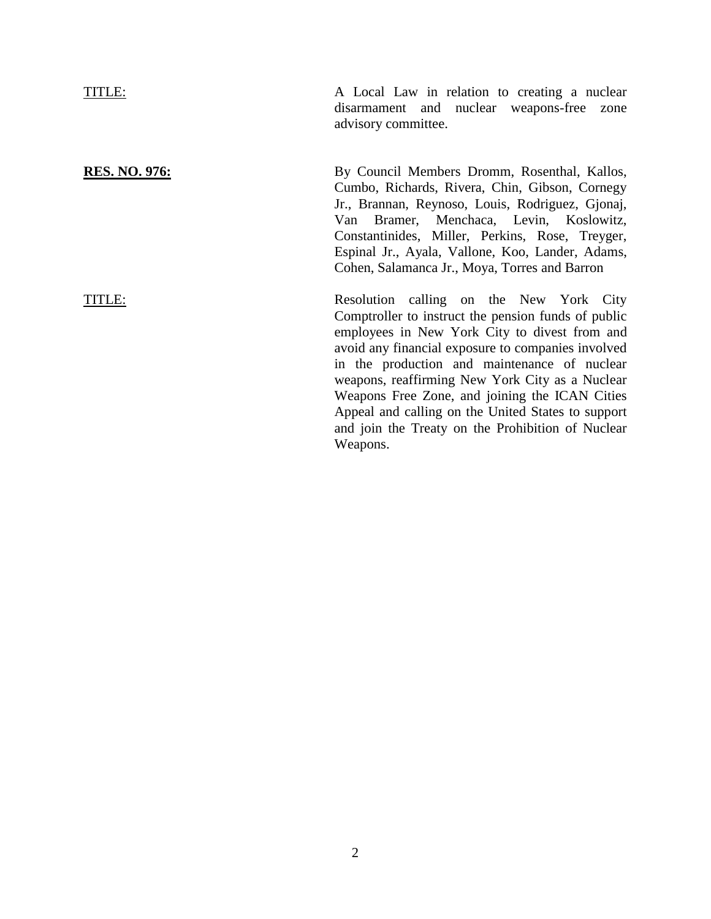TITLE: A Local Law in relation to creating a nuclear disarmament and nuclear weapons-free zone advisory committee. **RES. NO. 976:** By Council Members Dromm, Rosenthal, Kallos, Cumbo, Richards, Rivera, Chin, Gibson, Cornegy Jr., Brannan, Reynoso, Louis, Rodriguez, Gjonaj, Van Bramer, Menchaca, Levin, Koslowitz, Constantinides, Miller, Perkins, Rose, Treyger, Espinal Jr., Ayala, Vallone, Koo, Lander, Adams, Cohen, Salamanca Jr., Moya, Torres and Barron TITLE: Resolution calling on the New York City Comptroller to instruct the pension funds of public employees in New York City to divest from and avoid any financial exposure to companies involved in the production and maintenance of nuclear weapons, reaffirming New York City as a Nuclear Weapons Free Zone, and joining the ICAN Cities Appeal and calling on the United States to support and join the Treaty on the Prohibition of Nuclear

Weapons.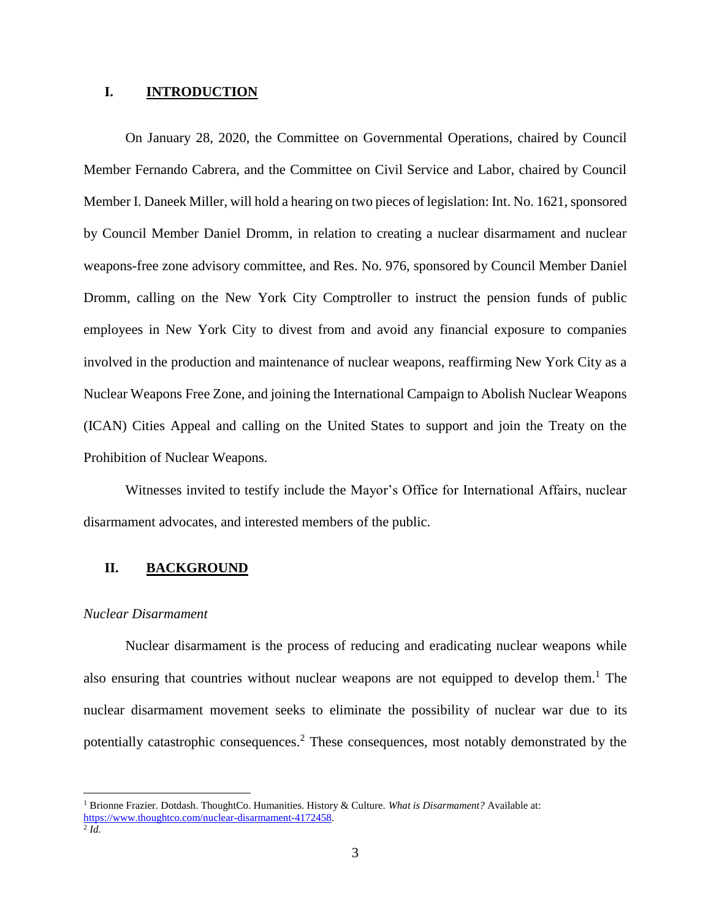### **I. INTRODUCTION**

On January 28, 2020, the Committee on Governmental Operations, chaired by Council Member Fernando Cabrera, and the Committee on Civil Service and Labor, chaired by Council Member I. Daneek Miller, will hold a hearing on two pieces of legislation: Int. No. 1621, sponsored by Council Member Daniel Dromm, in relation to creating a nuclear disarmament and nuclear weapons-free zone advisory committee, and Res. No. 976, sponsored by Council Member Daniel Dromm, calling on the New York City Comptroller to instruct the pension funds of public employees in New York City to divest from and avoid any financial exposure to companies involved in the production and maintenance of nuclear weapons, reaffirming New York City as a Nuclear Weapons Free Zone, and joining the International Campaign to Abolish Nuclear Weapons (ICAN) Cities Appeal and calling on the United States to support and join the Treaty on the Prohibition of Nuclear Weapons.

Witnesses invited to testify include the Mayor's Office for International Affairs, nuclear disarmament advocates, and interested members of the public.

# **II. BACKGROUND**

## *Nuclear Disarmament*

Nuclear disarmament is the process of reducing and eradicating nuclear weapons while also ensuring that countries without nuclear weapons are not equipped to develop them.<sup>1</sup> The nuclear disarmament movement seeks to eliminate the possibility of nuclear war due to its potentially catastrophic consequences.<sup>2</sup> These consequences, most notably demonstrated by the

<sup>1</sup> Brionne Frazier. Dotdash. ThoughtCo. Humanities. History & Culture. *What is Disarmament?* Available at: [https://www.thoughtco.com/nuclear-disarmament-4172458.](https://www.thoughtco.com/nuclear-disarmament-4172458)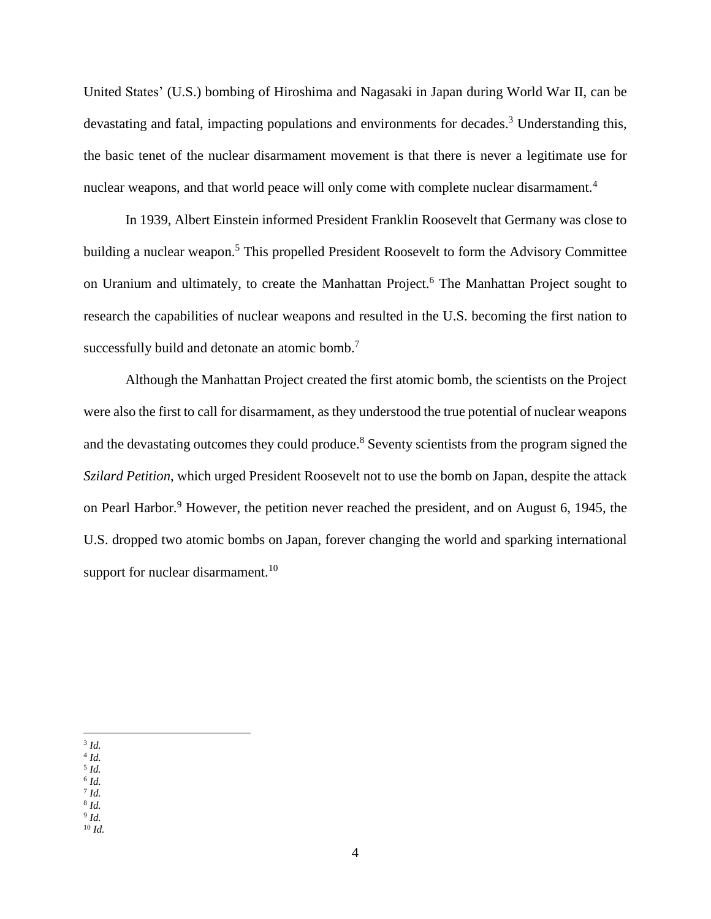United States' (U.S.) bombing of Hiroshima and Nagasaki in Japan during World War II, can be devastating and fatal, impacting populations and environments for decades.<sup>3</sup> Understanding this, the basic tenet of the nuclear disarmament movement is that there is never a legitimate use for nuclear weapons, and that world peace will only come with complete nuclear disarmament.<sup>4</sup>

In 1939, Albert Einstein informed President Franklin Roosevelt that Germany was close to building a nuclear weapon.<sup>5</sup> This propelled President Roosevelt to form the Advisory Committee on Uranium and ultimately, to create the Manhattan Project.<sup>6</sup> The Manhattan Project sought to research the capabilities of nuclear weapons and resulted in the U.S. becoming the first nation to successfully build and detonate an atomic bomb.<sup>7</sup>

Although the Manhattan Project created the first atomic bomb, the scientists on the Project were also the first to call for disarmament, as they understood the true potential of nuclear weapons and the devastating outcomes they could produce.<sup>8</sup> Seventy scientists from the program signed the *Szilard Petition*, which urged President Roosevelt not to use the bomb on Japan, despite the attack on Pearl Harbor.<sup>9</sup> However, the petition never reached the president, and on August 6, 1945, the U.S. dropped two atomic bombs on Japan, forever changing the world and sparking international support for nuclear disarmament.<sup>10</sup>

- 6 *Id.* 7 *Id.*
- 8 *Id.*

<sup>10</sup> *Id.*

 $\overline{a}$ 3 *Id.*

<sup>4</sup> *Id.*

<sup>5</sup> *Id.*

<sup>9</sup> *Id.*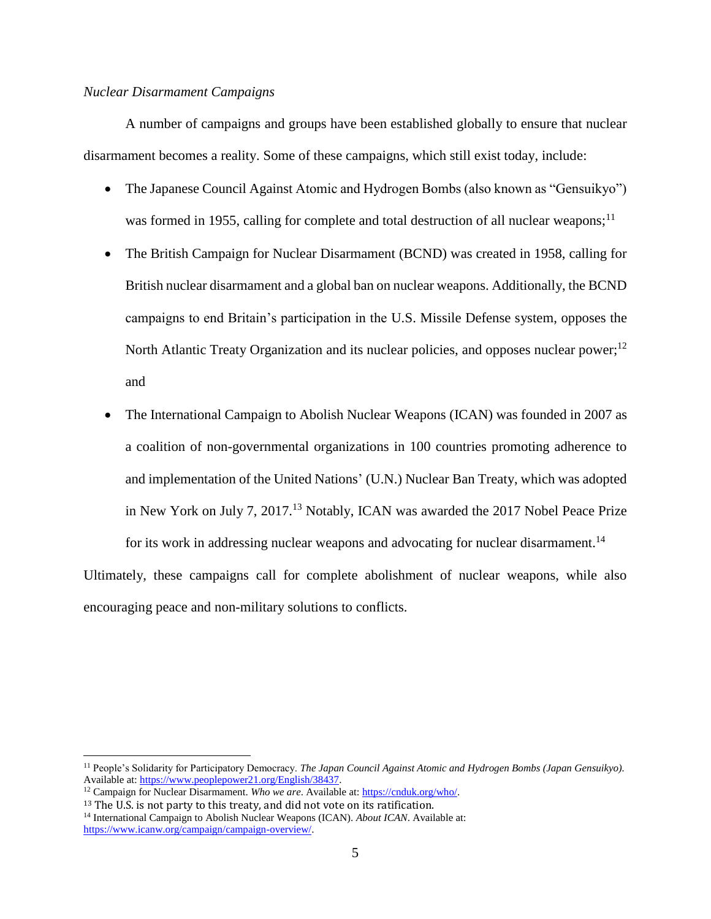## *Nuclear Disarmament Campaigns*

A number of campaigns and groups have been established globally to ensure that nuclear disarmament becomes a reality. Some of these campaigns, which still exist today, include:

- The Japanese Council Against Atomic and Hydrogen Bombs (also known as "Gensuikyo") was formed in 1955, calling for complete and total destruction of all nuclear weapons;<sup>11</sup>
- The British Campaign for Nuclear Disarmament (BCND) was created in 1958, calling for British nuclear disarmament and a global ban on nuclear weapons. Additionally, the BCND campaigns to end Britain's participation in the U.S. Missile Defense system, opposes the North Atlantic Treaty Organization and its nuclear policies, and opposes nuclear power;<sup>12</sup> and
- The International Campaign to Abolish Nuclear Weapons (ICAN) was founded in 2007 as a coalition of non-governmental organizations in 100 countries promoting adherence to and implementation of the United Nations' (U.N.) Nuclear Ban Treaty, which was adopted in New York on July 7, 2017.<sup>13</sup> Notably, ICAN was awarded the 2017 Nobel Peace Prize

for its work in addressing nuclear weapons and advocating for nuclear disarmament.<sup>14</sup> Ultimately, these campaigns call for complete abolishment of nuclear weapons, while also encouraging peace and non-military solutions to conflicts.

<sup>11</sup> People's Solidarity for Participatory Democracy. *The Japan Council Against Atomic and Hydrogen Bombs (Japan Gensuikyo).*  Available at[: https://www.peoplepower21.org/English/38437.](https://www.peoplepower21.org/English/38437)

<sup>&</sup>lt;sup>12</sup> Campaign for Nuclear Disarmament. *Who we are*. Available at: [https://cnduk.org/who/.](https://cnduk.org/who/)

<sup>&</sup>lt;sup>13</sup> The U.S. is not party to this treaty, and did not vote on its ratification. <sup>14</sup> International Campaign to Abolish Nuclear Weapons (ICAN). *About ICAN*. Available at: [https://www.icanw.org/campaign/campaign-overview/.](https://www.icanw.org/campaign/campaign-overview/)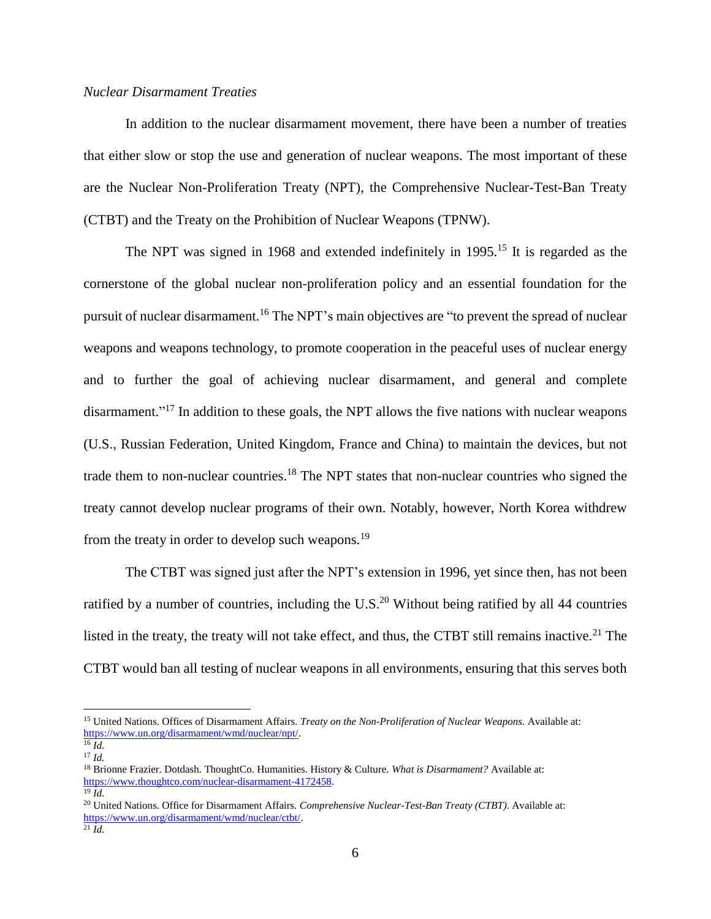## *Nuclear Disarmament Treaties*

In addition to the nuclear disarmament movement, there have been a number of treaties that either slow or stop the use and generation of nuclear weapons. The most important of these are the Nuclear Non-Proliferation Treaty (NPT), the Comprehensive Nuclear-Test-Ban Treaty (CTBT) and the Treaty on the Prohibition of Nuclear Weapons (TPNW).

The NPT was signed in 1968 and extended indefinitely in 1995.<sup>15</sup> It is regarded as the cornerstone of the global nuclear non-proliferation policy and an essential foundation for the pursuit of nuclear disarmament.<sup>16</sup> The NPT's main objectives are "to prevent the spread of nuclear weapons and weapons technology, to promote cooperation in the peaceful uses of nuclear energy and to further the goal of achieving nuclear disarmament, and general and complete disarmament."<sup>17</sup> In addition to these goals, the NPT allows the five nations with nuclear weapons (U.S., Russian Federation, United Kingdom, France and China) to maintain the devices, but not trade them to non-nuclear countries. <sup>18</sup> The NPT states that non-nuclear countries who signed the treaty cannot develop nuclear programs of their own. Notably, however, North Korea withdrew from the treaty in order to develop such weapons.<sup>19</sup>

The CTBT was signed just after the NPT's extension in 1996, yet since then, has not been ratified by a number of countries, including the U.S.<sup>20</sup> Without being ratified by all 44 countries listed in the treaty, the treaty will not take effect, and thus, the CTBT still remains inactive.<sup>21</sup> The CTBT would ban all testing of nuclear weapons in all environments, ensuring that this serves both

<sup>15</sup> United Nations. Offices of Disarmament Affairs. *Treaty on the Non-Proliferation of Nuclear Weapons*. Available at: [https://www.un.org/disarmament/wmd/nuclear/npt/.](https://www.un.org/disarmament/wmd/nuclear/npt/)

 $^{16}$  *Id.* <sup>17</sup> *Id.*

<sup>18</sup> Brionne Frazier. Dotdash. ThoughtCo. Humanities. History & Culture. *What is Disarmament?* Available at: [https://www.thoughtco.com/nuclear-disarmament-4172458.](https://www.thoughtco.com/nuclear-disarmament-4172458)

 $^{19}$  *Id.* 

<sup>&</sup>lt;sup>20</sup> United Nations. Office for Disarmament Affairs. *Comprehensive Nuclear-Test-Ban Treaty (CTBT)*. Available at: [https://www.un.org/disarmament/wmd/nuclear/ctbt/.](https://www.un.org/disarmament/wmd/nuclear/ctbt/)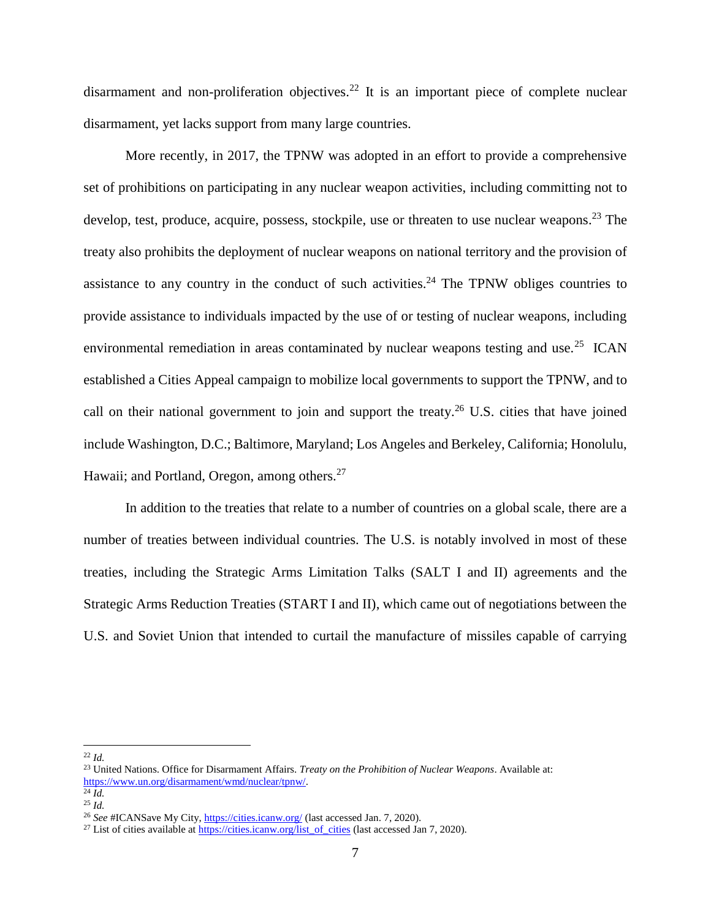disarmament and non-proliferation objectives.<sup>22</sup> It is an important piece of complete nuclear disarmament, yet lacks support from many large countries.

More recently, in 2017, the TPNW was adopted in an effort to provide a comprehensive set of prohibitions on participating in any nuclear weapon activities, including committing not to develop, test, produce, acquire, possess, stockpile, use or threaten to use nuclear weapons.<sup>23</sup> The treaty also prohibits the deployment of nuclear weapons on national territory and the provision of assistance to any country in the conduct of such activities.<sup>24</sup> The TPNW obliges countries to provide assistance to individuals impacted by the use of or testing of nuclear weapons, including environmental remediation in areas contaminated by nuclear weapons testing and use.<sup>25</sup> ICAN established a Cities Appeal campaign to mobilize local governments to support the TPNW, and to call on their national government to join and support the treaty.<sup>26</sup> U.S. cities that have joined include Washington, D.C.; Baltimore, Maryland; Los Angeles and Berkeley, California; Honolulu, Hawaii; and Portland, Oregon, among others.<sup>27</sup>

In addition to the treaties that relate to a number of countries on a global scale, there are a number of treaties between individual countries. The U.S. is notably involved in most of these treaties, including the Strategic Arms Limitation Talks (SALT I and II) agreements and the Strategic Arms Reduction Treaties (START I and II), which came out of negotiations between the U.S. and Soviet Union that intended to curtail the manufacture of missiles capable of carrying

 $\overline{a}$ <sup>22</sup> *Id.*

<sup>23</sup> United Nations. Office for Disarmament Affairs. *Treaty on the Prohibition of Nuclear Weapons*. Available at: [https://www.un.org/disarmament/wmd/nuclear/tpnw/.](https://www.un.org/disarmament/wmd/nuclear/tpnw/) 

<sup>24</sup> *Id.*

<sup>25</sup> *Id.*

<sup>26</sup> *See* #ICANSave My City,<https://cities.icanw.org/> (last accessed Jan. 7, 2020).

<sup>&</sup>lt;sup>27</sup> List of cities available at [https://cities.icanw.org/list\\_of\\_cities](https://cities.icanw.org/list_of_cities) (last accessed Jan 7, 2020).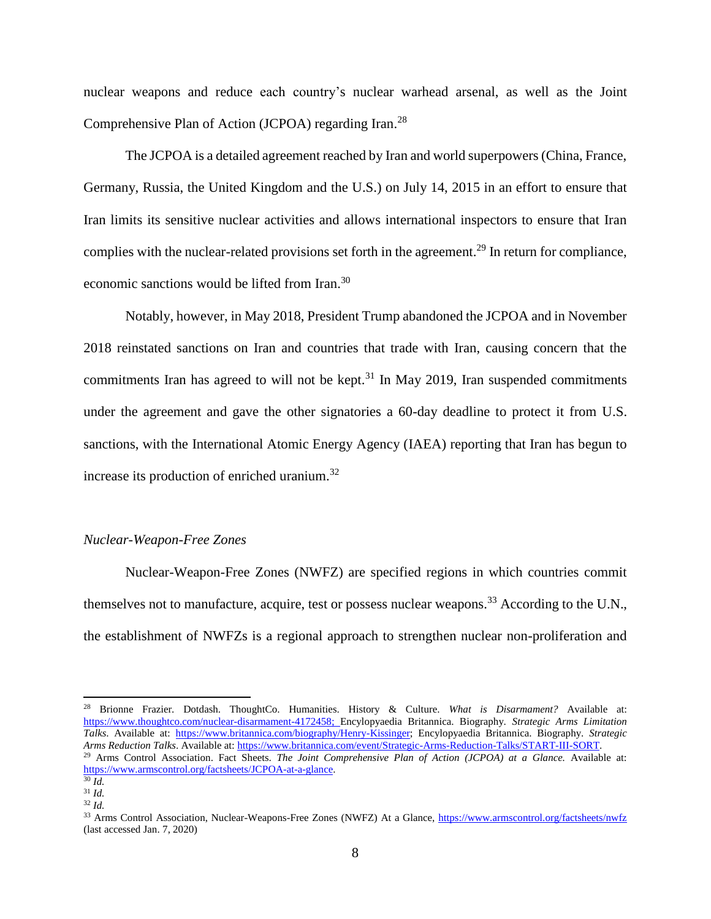nuclear weapons and reduce each country's nuclear warhead arsenal, as well as the Joint Comprehensive Plan of Action (JCPOA) regarding Iran.<sup>28</sup>

The JCPOA is a detailed agreement reached by Iran and world superpowers (China, France, Germany, Russia, the United Kingdom and the U.S.) on July 14, 2015 in an effort to ensure that Iran limits its sensitive nuclear activities and allows international inspectors to ensure that Iran complies with the nuclear-related provisions set forth in the agreement.<sup>29</sup> In return for compliance, economic sanctions would be lifted from Iran.<sup>30</sup>

Notably, however, in May 2018, President Trump abandoned the JCPOA and in November 2018 reinstated sanctions on Iran and countries that trade with Iran, causing concern that the commitments Iran has agreed to will not be kept. $31$  In May 2019, Iran suspended commitments under the agreement and gave the other signatories a 60-day deadline to protect it from U.S. sanctions, with the International Atomic Energy Agency (IAEA) reporting that Iran has begun to increase its production of enriched uranium.<sup>32</sup>

### *Nuclear-Weapon-Free Zones*

<span id="page-7-0"></span>Nuclear-Weapon-Free Zones (NWFZ) are specified regions in which countries commit themselves not to manufacture, acquire, test or possess nuclear weapons.<sup>33</sup> According to the U.N., the establishment of NWFZs is a regional approach to strengthen nuclear non-proliferation and

<sup>28</sup> Brionne Frazier. Dotdash. ThoughtCo. Humanities. History & Culture. *What is Disarmament?* Available at: [https://www.thoughtco.com/nuclear-disarmament-4172458;](https://www.thoughtco.com/nuclear-disarmament-4172458) Encylopyaedia Britannica. Biography. *Strategic Arms Limitation Talks*. Available at: [https://www.britannica.com/biography/Henry-Kissinger;](https://www.britannica.com/biography/Henry-Kissinger) Encylopyaedia Britannica. Biography. *Strategic Arms Reduction Talks*. Available at[: https://www.britannica.com/event/Strategic-Arms-Reduction-Talks/START-III-SORT.](https://www.britannica.com/event/Strategic-Arms-Reduction-Talks/START-III-SORT)

<sup>29</sup> Arms Control Association. Fact Sheets. *The Joint Comprehensive Plan of Action (JCPOA) at a Glance.* Available at: [https://www.armscontrol.org/factsheets/JCPOA-at-a-glance.](https://www.armscontrol.org/factsheets/JCPOA-at-a-glance)

<sup>30</sup> *Id.*

<sup>31</sup> *Id.*

<sup>32</sup> *Id.*

<sup>33</sup> Arms Control Association, Nuclear-Weapons-Free Zones (NWFZ) At a Glance,<https://www.armscontrol.org/factsheets/nwfz> (last accessed Jan. 7, 2020)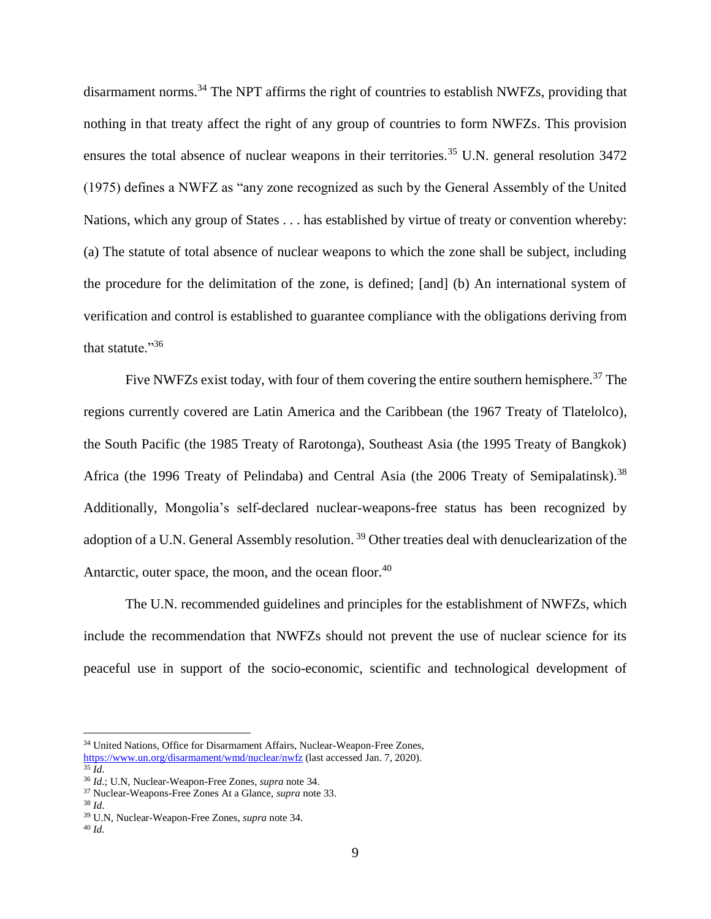<span id="page-8-0"></span>disarmament norms.<sup>34</sup> The NPT affirms the right of countries to establish NWFZs, providing that nothing in that treaty affect the right of any group of countries to form NWFZs. This provision ensures the total absence of nuclear weapons in their territories.<sup>35</sup> U.N. general resolution  $3472$ (1975) defines a NWFZ as "any zone recognized as such by the General Assembly of the United Nations, which any group of States . . . has established by virtue of treaty or convention whereby: (a) The statute of total absence of nuclear weapons to which the zone shall be subject, including the procedure for the delimitation of the zone, is defined; [and] (b) An international system of verification and control is established to guarantee compliance with the obligations deriving from that statute."<sup>36</sup>

Five NWFZs exist today, with four of them covering the entire southern hemisphere.<sup>37</sup> The regions currently covered are Latin America and the Caribbean (the 1967 Treaty of Tlatelolco), the South Pacific (the 1985 Treaty of Rarotonga), Southeast Asia (the 1995 Treaty of Bangkok) Africa (the 1996 Treaty of Pelindaba) and Central Asia (the 2006 Treaty of Semipalatinsk).<sup>38</sup> Additionally, Mongolia's self-declared nuclear-weapons-free status has been recognized by adoption of a U.N. General Assembly resolution.<sup>39</sup> Other treaties deal with denuclearization of the Antarctic, outer space, the moon, and the ocean floor.<sup>40</sup>

The U.N. recommended guidelines and principles for the establishment of NWFZs, which include the recommendation that NWFZs should not prevent the use of nuclear science for its peaceful use in support of the socio-economic, scientific and technological development of

<sup>&</sup>lt;sup>34</sup> United Nations, Office for Disarmament Affairs, Nuclear-Weapon-Free Zones, <https://www.un.org/disarmament/wmd/nuclear/nwfz> (last accessed Jan. 7, 2020).

 $35 \overline{Id}$ 

<sup>36</sup> *Id*.; U.N, Nuclear-Weapon-Free Zones, *supra* not[e 34.](#page-8-0)

<sup>37</sup> Nuclear-Weapons-Free Zones At a Glance, *supra* not[e 33.](#page-7-0)

<sup>38</sup> *Id*.

<sup>39</sup> U.N, Nuclear-Weapon-Free Zones, *supra* not[e 34.](#page-8-0)

<sup>40</sup> *Id.*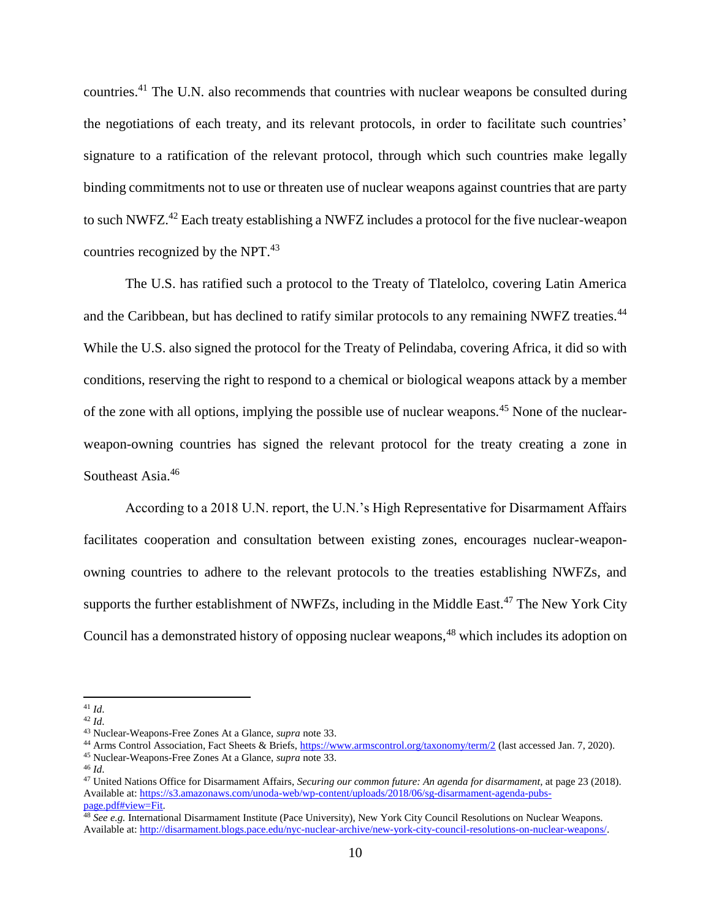countries.<sup>41</sup> The U.N. also recommends that countries with nuclear weapons be consulted during the negotiations of each treaty, and its relevant protocols, in order to facilitate such countries' signature to a ratification of the relevant protocol, through which such countries make legally binding commitments not to use or threaten use of nuclear weapons against countries that are party to such NWFZ.<sup>42</sup> Each treaty establishing a NWFZ includes a protocol for the five nuclear-weapon countries recognized by the NPT.<sup>43</sup>

The U.S. has ratified such a protocol to the Treaty of Tlatelolco, covering Latin America and the Caribbean, but has declined to ratify similar protocols to any remaining NWFZ treaties.<sup>44</sup> While the U.S. also signed the protocol for the Treaty of Pelindaba, covering Africa, it did so with conditions, reserving the right to respond to a chemical or biological weapons attack by a member of the zone with all options, implying the possible use of nuclear weapons.<sup>45</sup> None of the nuclearweapon-owning countries has signed the relevant protocol for the treaty creating a zone in Southeast Asia.<sup>46</sup>

According to a 2018 U.N. report, the U.N.'s High Representative for Disarmament Affairs facilitates cooperation and consultation between existing zones, encourages nuclear-weaponowning countries to adhere to the relevant protocols to the treaties establishing NWFZs, and supports the further establishment of NWFZs, including in the Middle East.<sup>47</sup> The New York City Council has a demonstrated history of opposing nuclear weapons, <sup>48</sup> which includes its adoption on

 $\overline{a}$ <sup>41</sup> *Id*.

<sup>42</sup> *Id*.

<sup>43</sup> Nuclear-Weapons-Free Zones At a Glance, *supra* not[e 33.](#page-7-0)

<sup>44</sup> Arms Control Association, Fact Sheets & Briefs[, https://www.armscontrol.org/taxonomy/term/2](https://www.armscontrol.org/taxonomy/term/2) (last accessed Jan. 7, 2020).

<sup>45</sup> Nuclear-Weapons-Free Zones At a Glance, *supra* not[e 33.](#page-7-0)

<sup>46</sup> *Id*.

<sup>47</sup> United Nations Office for Disarmament Affairs, *Securing our common future: An agenda for disarmament,* at page 23 (2018). Available at[: https://s3.amazonaws.com/unoda-web/wp-content/uploads/2018/06/sg-disarmament-agenda-pubs](https://s3.amazonaws.com/unoda-web/wp-content/uploads/2018/06/sg-disarmament-agenda-pubs-page.pdf#view=Fit)[page.pdf#view=Fit.](https://s3.amazonaws.com/unoda-web/wp-content/uploads/2018/06/sg-disarmament-agenda-pubs-page.pdf#view=Fit) 

<sup>48</sup> *See e.g.* International Disarmament Institute (Pace University), New York City Council Resolutions on Nuclear Weapons. Available at[: http://disarmament.blogs.pace.edu/nyc-nuclear-archive/new-york-city-council-resolutions-on-nuclear-weapons/.](http://disarmament.blogs.pace.edu/nyc-nuclear-archive/new-york-city-council-resolutions-on-nuclear-weapons/)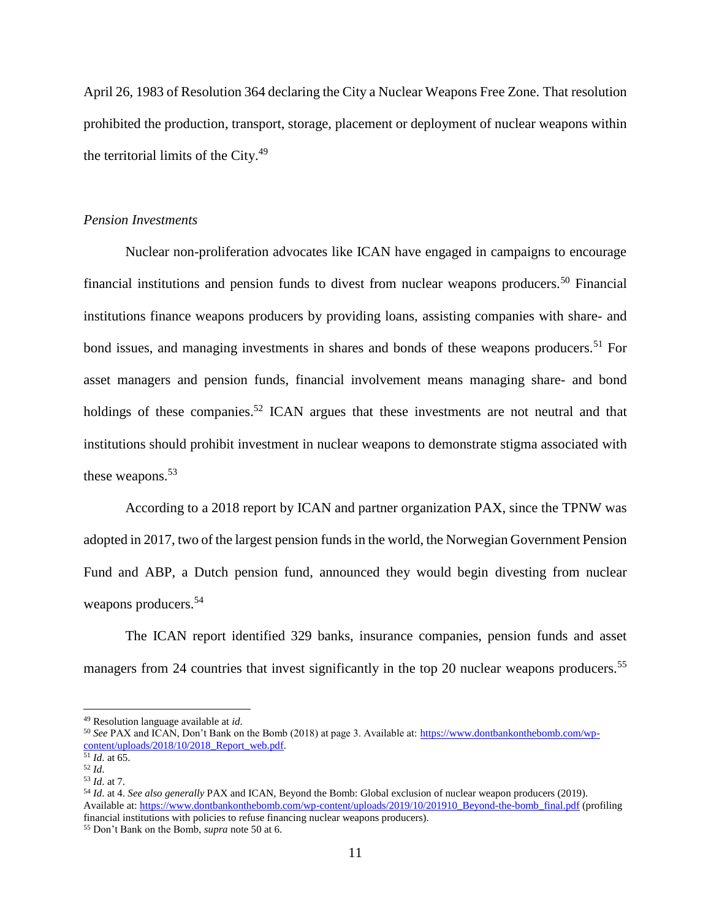April 26, 1983 of Resolution 364 declaring the City a Nuclear Weapons Free Zone. That resolution prohibited the production, transport, storage, placement or deployment of nuclear weapons within the territorial limits of the City. $49$ 

#### *Pension Investments*

<span id="page-10-0"></span>Nuclear non-proliferation advocates like ICAN have engaged in campaigns to encourage financial institutions and pension funds to divest from nuclear weapons producers.<sup>50</sup> Financial institutions finance weapons producers by providing loans, assisting companies with share- and bond issues, and managing investments in shares and bonds of these weapons producers.<sup>51</sup> For asset managers and pension funds, financial involvement means managing share- and bond holdings of these companies.<sup>52</sup> ICAN argues that these investments are not neutral and that institutions should prohibit investment in nuclear weapons to demonstrate stigma associated with these weapons.<sup>53</sup>

According to a 2018 report by ICAN and partner organization PAX, since the TPNW was adopted in 2017, two of the largest pension funds in the world, the Norwegian Government Pension Fund and ABP, a Dutch pension fund, announced they would begin divesting from nuclear weapons producers.<sup>54</sup>

The ICAN report identified 329 banks, insurance companies, pension funds and asset managers from 24 countries that invest significantly in the top 20 nuclear weapons producers.<sup>55</sup>

 $\overline{a}$ 

<sup>54</sup> *Id*. at 4. *See also generally* PAX and ICAN, Beyond the Bomb: Global exclusion of nuclear weapon producers (2019). Available at[: https://www.dontbankonthebomb.com/wp-content/uploads/2019/10/201910\\_Beyond-the-bomb\\_final.pdf](https://www.dontbankonthebomb.com/wp-content/uploads/2019/10/201910_Beyond-the-bomb_final.pdf) (profiling financial institutions with policies to refuse financing nuclear weapons producers).

<sup>55</sup> Don't Bank on the Bomb, *supra* not[e 50](#page-10-0) at 6.

<sup>49</sup> Resolution language available at *id*.

<sup>50</sup> *See* PAX and ICAN, Don't Bank on the Bomb (2018) at page 3. Available at: [https://www.dontbankonthebomb.com/wp](https://www.dontbankonthebomb.com/wp-content/uploads/2018/10/2018_Report_web.pdf)content/uploads/2018/10/2018 Report\_web.pdf.

<sup>51</sup> *Id*. at 65.

<sup>52</sup> *Id*.

<sup>53</sup> *Id*. at 7.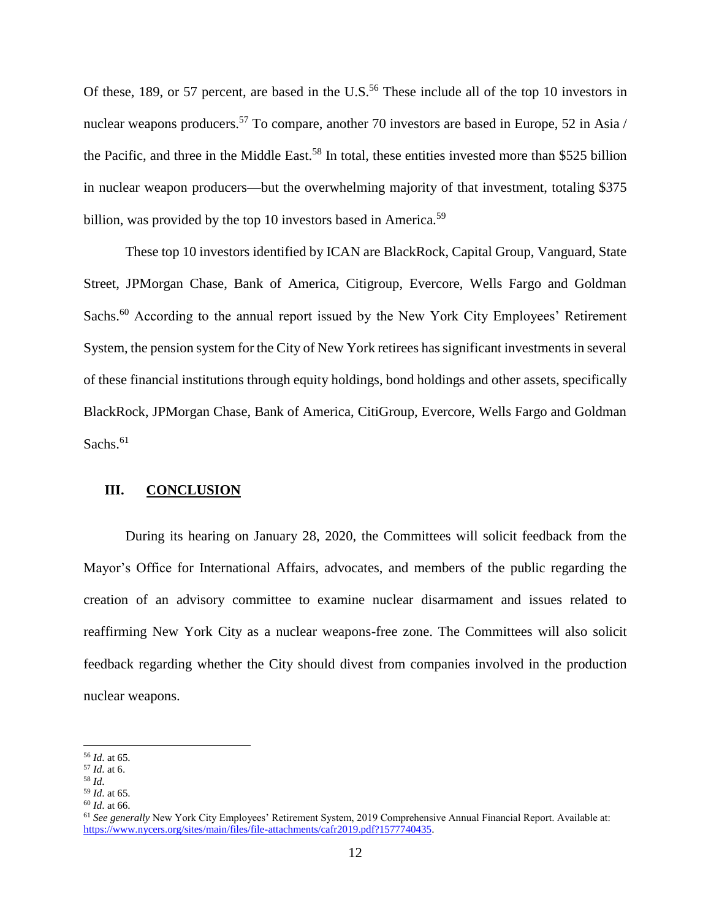Of these, 189, or 57 percent, are based in the U.S.<sup>56</sup> These include all of the top 10 investors in nuclear weapons producers.<sup>57</sup> To compare, another 70 investors are based in Europe, 52 in Asia / the Pacific, and three in the Middle East.<sup>58</sup> In total, these entities invested more than \$525 billion in nuclear weapon producers—but the overwhelming majority of that investment, totaling \$375 billion, was provided by the top 10 investors based in America.<sup>59</sup>

These top 10 investors identified by ICAN are BlackRock, Capital Group, Vanguard, State Street, JPMorgan Chase, Bank of America, Citigroup, Evercore, Wells Fargo and Goldman Sachs.<sup>60</sup> According to the annual report issued by the New York City Employees' Retirement System, the pension system for the City of New York retirees has significant investments in several of these financial institutions through equity holdings, bond holdings and other assets, specifically BlackRock, JPMorgan Chase, Bank of America, CitiGroup, Evercore, Wells Fargo and Goldman Sachs. $61$ 

## **III. CONCLUSION**

During its hearing on January 28, 2020, the Committees will solicit feedback from the Mayor's Office for International Affairs, advocates, and members of the public regarding the creation of an advisory committee to examine nuclear disarmament and issues related to reaffirming New York City as a nuclear weapons-free zone. The Committees will also solicit feedback regarding whether the City should divest from companies involved in the production nuclear weapons.

<sup>56</sup> *Id*. at 65.

<sup>57</sup> *Id*. at 6.

<sup>58</sup> *Id*.

<sup>59</sup> *Id*. at 65.

<sup>60</sup> *Id*. at 66.

<sup>61</sup> *See generally* New York City Employees' Retirement System, 2019 Comprehensive Annual Financial Report. Available at: [https://www.nycers.org/sites/main/files/file-attachments/cafr2019.pdf?1577740435.](https://www.nycers.org/sites/main/files/file-attachments/cafr2019.pdf?1577740435)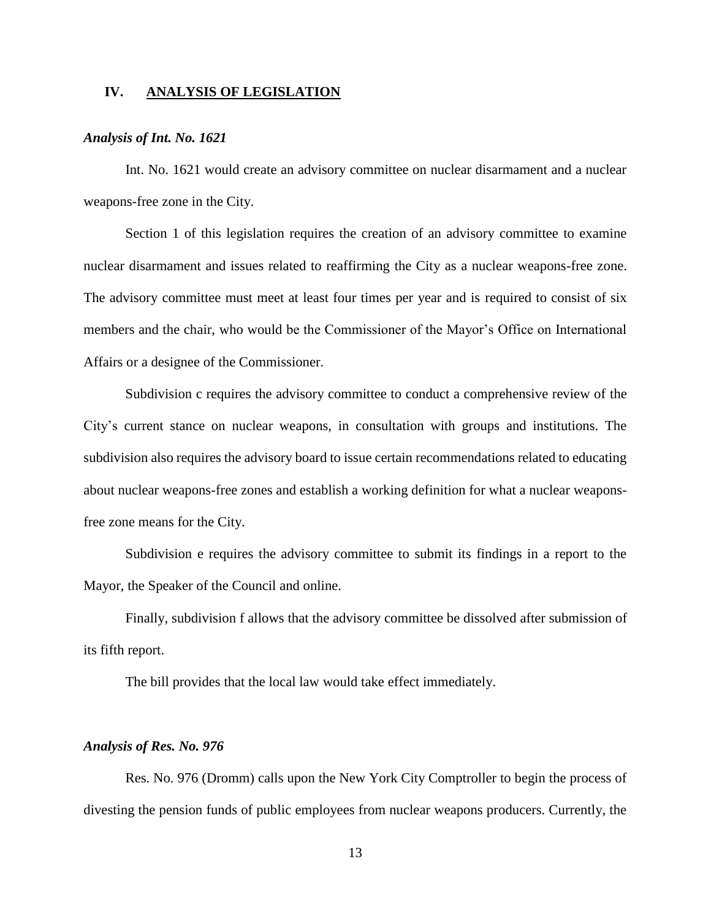#### **IV. ANALYSIS OF LEGISLATION**

### *Analysis of Int. No. 1621*

Int. No. 1621 would create an advisory committee on nuclear disarmament and a nuclear weapons-free zone in the City.

Section 1 of this legislation requires the creation of an advisory committee to examine nuclear disarmament and issues related to reaffirming the City as a nuclear weapons-free zone. The advisory committee must meet at least four times per year and is required to consist of six members and the chair, who would be the Commissioner of the Mayor's Office on International Affairs or a designee of the Commissioner.

Subdivision c requires the advisory committee to conduct a comprehensive review of the City's current stance on nuclear weapons, in consultation with groups and institutions. The subdivision also requires the advisory board to issue certain recommendations related to educating about nuclear weapons-free zones and establish a working definition for what a nuclear weaponsfree zone means for the City.

Subdivision e requires the advisory committee to submit its findings in a report to the Mayor, the Speaker of the Council and online.

Finally, subdivision f allows that the advisory committee be dissolved after submission of its fifth report.

The bill provides that the local law would take effect immediately.

## *Analysis of Res. No. 976*

Res. No. 976 (Dromm) calls upon the New York City Comptroller to begin the process of divesting the pension funds of public employees from nuclear weapons producers. Currently, the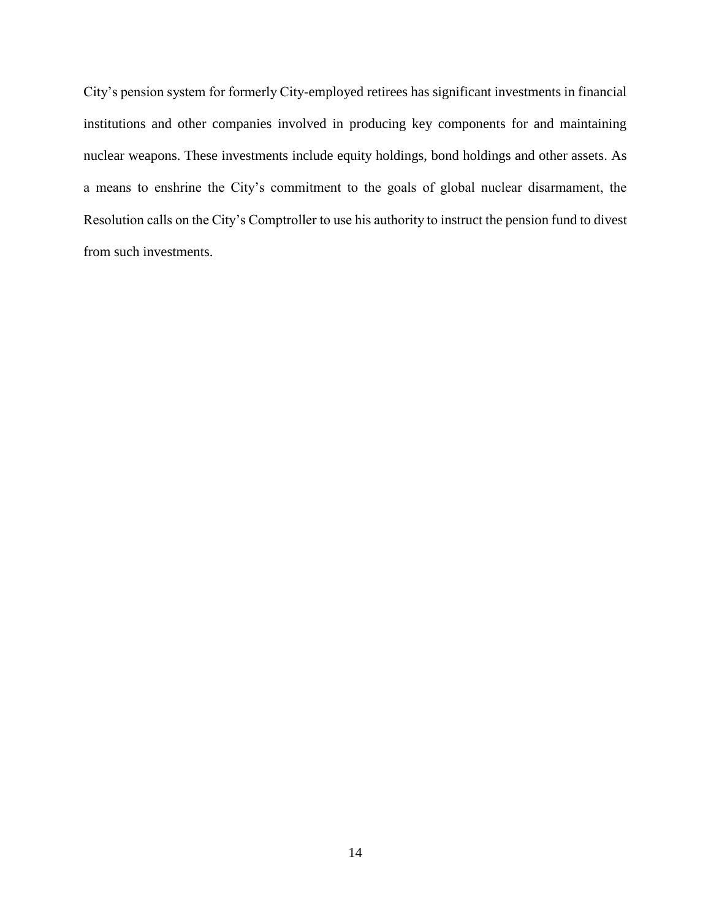City's pension system for formerly City-employed retirees has significant investments in financial institutions and other companies involved in producing key components for and maintaining nuclear weapons. These investments include equity holdings, bond holdings and other assets. As a means to enshrine the City's commitment to the goals of global nuclear disarmament, the Resolution calls on the City's Comptroller to use his authority to instruct the pension fund to divest from such investments.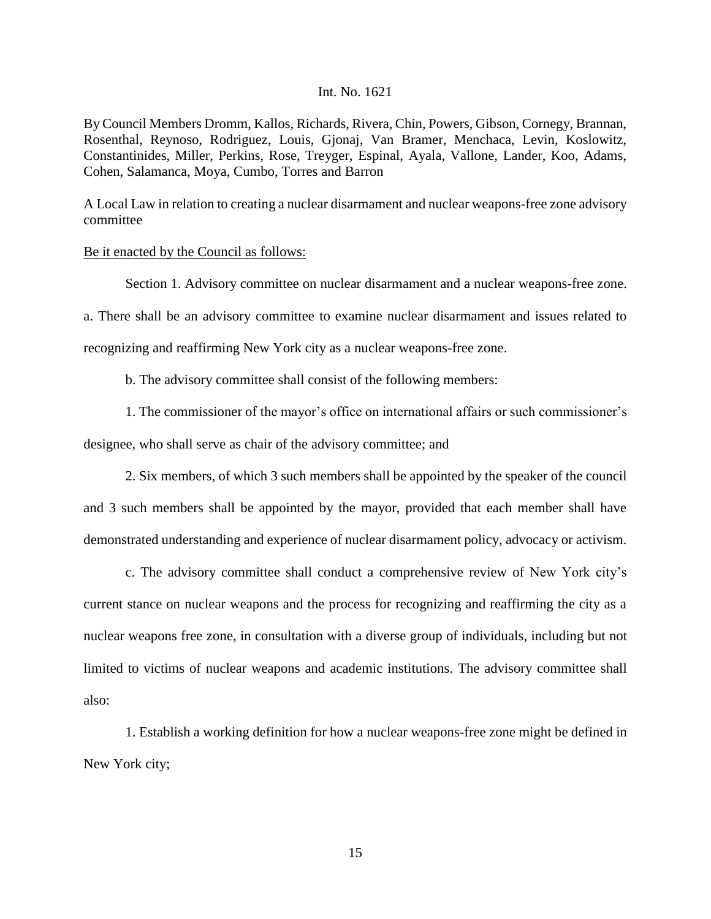### Int. No. 1621

By Council Members Dromm, Kallos, Richards, Rivera, Chin, Powers, Gibson, Cornegy, Brannan, Rosenthal, Reynoso, Rodriguez, Louis, Gjonaj, Van Bramer, Menchaca, Levin, Koslowitz, Constantinides, Miller, Perkins, Rose, Treyger, Espinal, Ayala, Vallone, Lander, Koo, Adams, Cohen, Salamanca, Moya, Cumbo, Torres and Barron

A Local Law in relation to creating a nuclear disarmament and nuclear weapons-free zone advisory committee

#### Be it enacted by the Council as follows:

Section 1. Advisory committee on nuclear disarmament and a nuclear weapons-free zone. a. There shall be an advisory committee to examine nuclear disarmament and issues related to recognizing and reaffirming New York city as a nuclear weapons-free zone.

b. The advisory committee shall consist of the following members:

1. The commissioner of the mayor's office on international affairs or such commissioner's

designee, who shall serve as chair of the advisory committee; and

2. Six members, of which 3 such members shall be appointed by the speaker of the council and 3 such members shall be appointed by the mayor, provided that each member shall have demonstrated understanding and experience of nuclear disarmament policy, advocacy or activism.

c. The advisory committee shall conduct a comprehensive review of New York city's current stance on nuclear weapons and the process for recognizing and reaffirming the city as a nuclear weapons free zone, in consultation with a diverse group of individuals, including but not limited to victims of nuclear weapons and academic institutions. The advisory committee shall also:

1. Establish a working definition for how a nuclear weapons-free zone might be defined in New York city;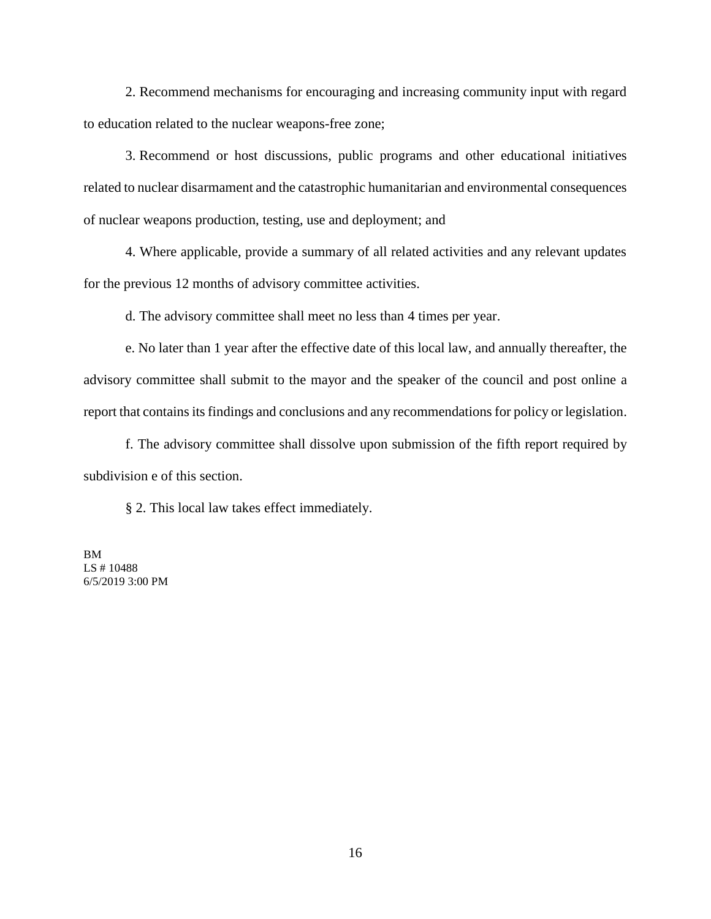2. Recommend mechanisms for encouraging and increasing community input with regard to education related to the nuclear weapons-free zone;

3. Recommend or host discussions, public programs and other educational initiatives related to nuclear disarmament and the catastrophic humanitarian and environmental consequences of nuclear weapons production, testing, use and deployment; and

4. Where applicable, provide a summary of all related activities and any relevant updates for the previous 12 months of advisory committee activities.

d. The advisory committee shall meet no less than 4 times per year.

e. No later than 1 year after the effective date of this local law, and annually thereafter, the advisory committee shall submit to the mayor and the speaker of the council and post online a report that contains its findings and conclusions and any recommendations for policy or legislation.

f. The advisory committee shall dissolve upon submission of the fifth report required by subdivision e of this section.

§ 2. This local law takes effect immediately.

BM LS # 10488 6/5/2019 3:00 PM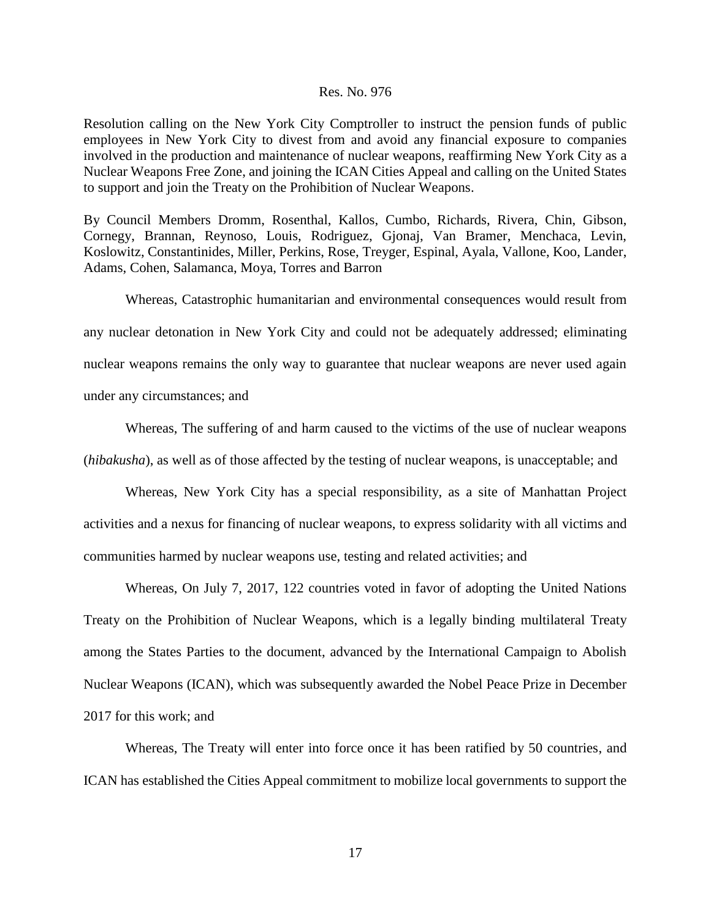#### Res. No. 976

Resolution calling on the New York City Comptroller to instruct the pension funds of public employees in New York City to divest from and avoid any financial exposure to companies involved in the production and maintenance of nuclear weapons, reaffirming New York City as a Nuclear Weapons Free Zone, and joining the ICAN Cities Appeal and calling on the United States to support and join the Treaty on the Prohibition of Nuclear Weapons.

By Council Members Dromm, Rosenthal, Kallos, Cumbo, Richards, Rivera, Chin, Gibson, Cornegy, Brannan, Reynoso, Louis, Rodriguez, Gjonaj, Van Bramer, Menchaca, Levin, Koslowitz, Constantinides, Miller, Perkins, Rose, Treyger, Espinal, Ayala, Vallone, Koo, Lander, Adams, Cohen, Salamanca, Moya, Torres and Barron

Whereas, Catastrophic humanitarian and environmental consequences would result from any nuclear detonation in New York City and could not be adequately addressed; eliminating nuclear weapons remains the only way to guarantee that nuclear weapons are never used again under any circumstances; and

Whereas, The suffering of and harm caused to the victims of the use of nuclear weapons (*hibakusha*), as well as of those affected by the testing of nuclear weapons, is unacceptable; and

Whereas, New York City has a special responsibility, as a site of Manhattan Project activities and a nexus for financing of nuclear weapons, to express solidarity with all victims and communities harmed by nuclear weapons use, testing and related activities; and

Whereas, On July 7, 2017, 122 countries voted in favor of adopting the United Nations Treaty on the Prohibition of Nuclear Weapons, which is a legally binding multilateral Treaty among the States Parties to the document, advanced by the International Campaign to Abolish Nuclear Weapons (ICAN), which was subsequently awarded the Nobel Peace Prize in December 2017 for this work; and

Whereas, The Treaty will enter into force once it has been ratified by 50 countries, and ICAN has established the Cities Appeal commitment to mobilize local governments to support the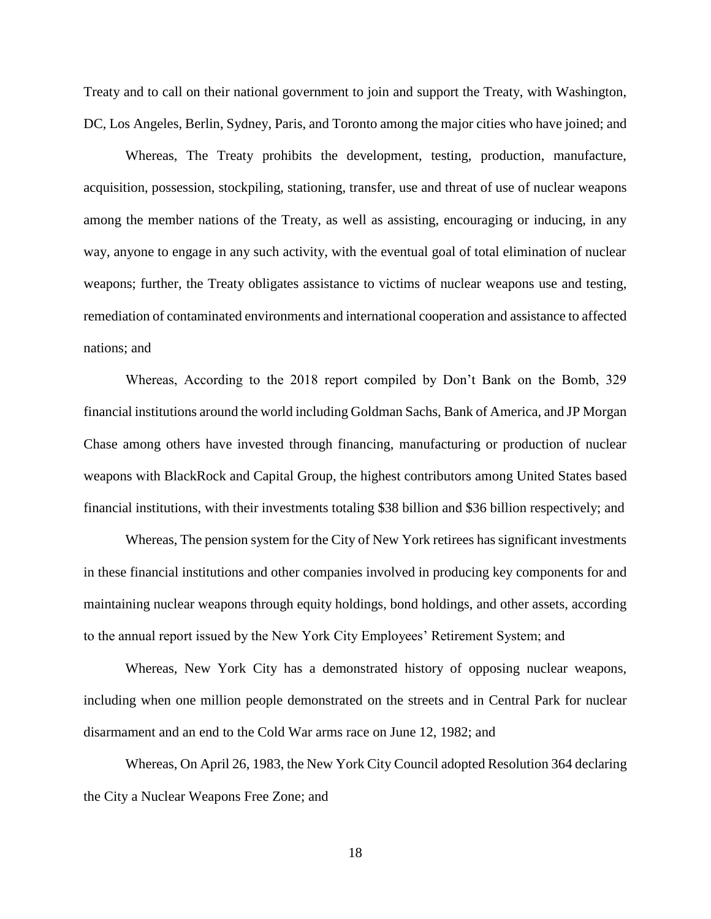Treaty and to call on their national government to join and support the Treaty, with Washington, DC, Los Angeles, Berlin, Sydney, Paris, and Toronto among the major cities who have joined; and

Whereas, The Treaty prohibits the development, testing, production, manufacture, acquisition, possession, stockpiling, stationing, transfer, use and threat of use of nuclear weapons among the member nations of the Treaty, as well as assisting, encouraging or inducing, in any way, anyone to engage in any such activity, with the eventual goal of total elimination of nuclear weapons; further, the Treaty obligates assistance to victims of nuclear weapons use and testing, remediation of contaminated environments and international cooperation and assistance to affected nations; and

Whereas, According to the 2018 report compiled by Don't Bank on the Bomb, 329 financial institutions around the world including Goldman Sachs, Bank of America, and JP Morgan Chase among others have invested through financing, manufacturing or production of nuclear weapons with BlackRock and Capital Group, the highest contributors among United States based financial institutions, with their investments totaling \$38 billion and \$36 billion respectively; and

Whereas, The pension system for the City of New York retirees has significant investments in these financial institutions and other companies involved in producing key components for and maintaining nuclear weapons through equity holdings, bond holdings, and other assets, according to the annual report issued by the New York City Employees' Retirement System; and

Whereas, New York City has a demonstrated history of opposing nuclear weapons, including when one million people demonstrated on the streets and in Central Park for nuclear disarmament and an end to the Cold War arms race on June 12, 1982; and

Whereas, On April 26, 1983, the New York City Council adopted Resolution 364 declaring the City a Nuclear Weapons Free Zone; and

18